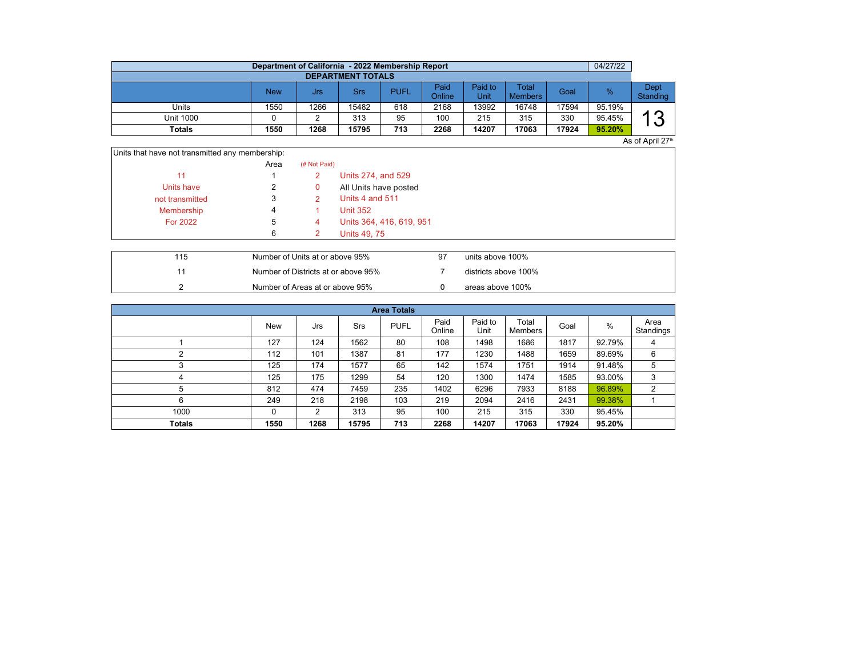|                  | Department of California - 2022 Membership Report |      |       |             |                       |                 |                         |       | 04/27/22 |                  |  |  |  |  |
|------------------|---------------------------------------------------|------|-------|-------------|-----------------------|-----------------|-------------------------|-------|----------|------------------|--|--|--|--|
|                  | <b>DEPARTMENT TOTALS</b>                          |      |       |             |                       |                 |                         |       |          |                  |  |  |  |  |
|                  | New                                               | Jrs  | Srs   | <b>PUFL</b> | Paid<br><b>Online</b> | Paid to<br>Unit | Total<br><b>Members</b> | Goal  | %        | Dept<br>Standing |  |  |  |  |
| Units            | 1550                                              | 1266 | 15482 | 618         | 2168                  | 13992           | 16748                   | 17594 | 95.19%   |                  |  |  |  |  |
| <b>Unit 1000</b> |                                                   |      | 313   | 95          | 100                   | 215             | 315                     | 330   | 95.45%   | റ<br>. U         |  |  |  |  |
| Totals           | 1550                                              | 1268 | 15795 | 713         | 2268                  | 14207           | 17063                   | 17924 | 95.20%   |                  |  |  |  |  |
|                  |                                                   |      |       |             |                       |                 |                         |       |          | As of April 27th |  |  |  |  |

| Units that have not transmitted any membership: |      |              |                          |  |
|-------------------------------------------------|------|--------------|--------------------------|--|
|                                                 | Area | (# Not Paid) |                          |  |
| 11                                              |      | 2            | Units 274, and 529       |  |
| Units have                                      | 2    | $\mathbf{0}$ | All Units have posted    |  |
| not transmitted                                 | 3    | 2            | Units 4 and 511          |  |
| Membership                                      | 4    |              | <b>Unit 352</b>          |  |
| <b>For 2022</b>                                 | 5    | 4            | Units 364, 416, 619, 951 |  |
|                                                 | 6    |              | Units 49, 75             |  |

| 115 | Number of Units at or above 95%     | units above 100%     |
|-----|-------------------------------------|----------------------|
|     | Number of Districts at or above 95% | districts above 100% |
|     | Number of Areas at or above 95%     | areas above 100%     |

| <b>Area Totals</b> |      |      |       |             |                |                 |                  |       |               |                   |  |  |  |
|--------------------|------|------|-------|-------------|----------------|-----------------|------------------|-------|---------------|-------------------|--|--|--|
|                    | New  | Jrs  | Srs   | <b>PUFL</b> | Paid<br>Online | Paid to<br>Unit | Total<br>Members | Goal  | $\frac{0}{0}$ | Area<br>Standings |  |  |  |
|                    | 127  | 124  | 1562  | 80          | 108            | 1498            | 1686             | 1817  | 92.79%        | 4                 |  |  |  |
| C                  | 112  | 101  | 1387  | 81          | 177            | 1230            | 1488             | 1659  | 89.69%        | 6                 |  |  |  |
| 3                  | 125  | 174  | 1577  | 65          | 142            | 1574            | 1751             | 1914  | 91.48%        | 5                 |  |  |  |
| 4                  | 125  | 175  | 1299  | 54          | 120            | 1300            | 1474             | 1585  | 93.00%        | 3                 |  |  |  |
| 5                  | 812  | 474  | 7459  | 235         | 1402           | 6296            | 7933             | 8188  | 96.89%        | 2                 |  |  |  |
| 6                  | 249  | 218  | 2198  | 103         | 219            | 2094            | 2416             | 2431  | 99.38%        |                   |  |  |  |
| 1000               | 0    | 2    | 313   | 95          | 100            | 215             | 315              | 330   | 95.45%        |                   |  |  |  |
| <b>Totals</b>      | 1550 | 1268 | 15795 | 713         | 2268           | 14207           | 17063            | 17924 | 95.20%        |                   |  |  |  |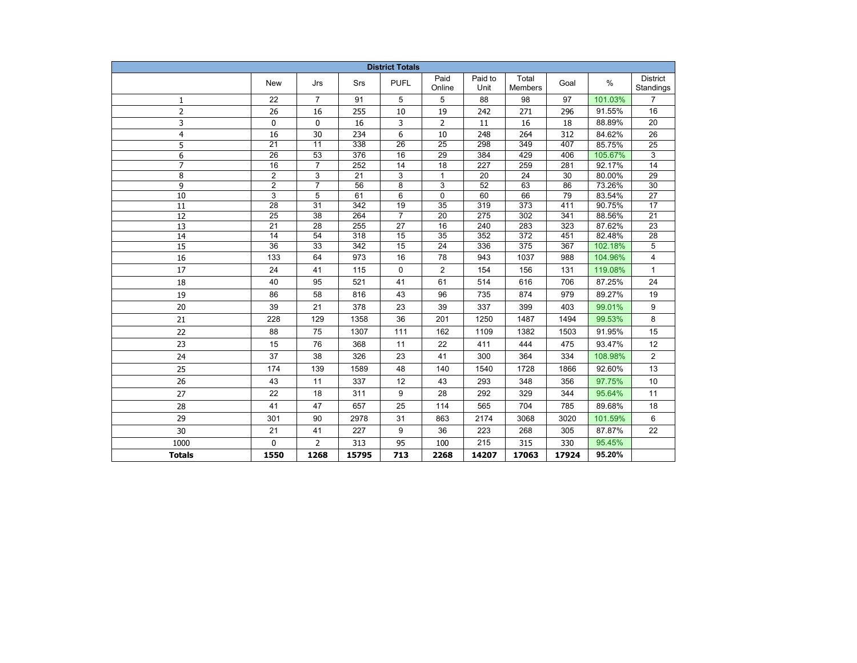| <b>District Totals</b> |                       |                       |            |                 |                                    |                 |                                      |            |                   |                              |  |
|------------------------|-----------------------|-----------------------|------------|-----------------|------------------------------------|-----------------|--------------------------------------|------------|-------------------|------------------------------|--|
|                        | New                   | Jrs                   | Srs        | <b>PUFL</b>     | Paid<br>Online                     | Paid to<br>Unit | Total<br><b>Members</b>              | Goal       | $\%$              | <b>District</b><br>Standings |  |
| 1                      | 22                    | $\overline{7}$        | 91         | 5               | 5                                  | 88              | 98                                   | 97         | 101.03%           | $\overline{7}$               |  |
| $\overline{2}$         | 26                    | 16                    | 255        | 10              | 19                                 | 242             | 271                                  | 296        | 91.55%            | 16                           |  |
| 3                      | 0                     | 0                     | 16         | 3               | 2                                  | 11              | 16                                   | 18         | 88.89%            | 20                           |  |
| $\overline{4}$         | 16                    | 30                    | 234        | 6               | 10                                 | 248             | 264                                  | 312        | 84.62%            | 26                           |  |
| 5                      | $\overline{21}$       | $\overline{11}$       | 338        | $\overline{26}$ | $\overline{25}$                    | 298             | 349                                  | 407        | 85.75%            | 25                           |  |
| 6                      | $\overline{26}$       | $\overline{53}$       | 376        | 16              | 29                                 | 384             | 429                                  | 406        | 105.67%           | 3                            |  |
| $\overline{7}$         | 16                    | $\overline{7}$        | 252        | 14              | 18                                 | 227             | 259                                  | 281        | 92.17%            | 14                           |  |
| 8                      | $\overline{2}$        | 3                     | 21         | 3               | $\mathbf{1}$                       | 20              | 24                                   | 30         | 80.00%            | 29                           |  |
| 9                      | $\overline{2}$        | $\overline{7}$        | 56         | 8               | 3                                  | 52              | 63                                   | 86         | 73.26%            | 30                           |  |
| 10                     | 3                     | 5                     | 61         | 6               | 0                                  | 60              | 66                                   | 79         | 83.54%            | 27                           |  |
| 11                     | 28                    | 31                    | 342        | 19              | 35                                 | 319             | 373                                  | 411        | 90.75%            | 17                           |  |
| 12                     | 25                    | 38                    | 264        | $\overline{7}$  | 20                                 | 275             | 302                                  | 341        | 88.56%            | 21                           |  |
| 13                     | 21                    | 28                    | 255        | 27              | 16                                 | 240             | 283                                  | 323        | 87.62%            | 23                           |  |
| 14                     | 14<br>$\overline{36}$ | 54<br>$\overline{33}$ | 318<br>342 | 15<br>15        | $\overline{35}$<br>$\overline{24}$ | 352<br>336      | $\overline{372}$<br>$\overline{375}$ | 451<br>367 | 82.48%<br>102.18% | $\overline{28}$<br>5         |  |
| $\overline{15}$        |                       |                       |            |                 |                                    |                 |                                      |            |                   |                              |  |
| 16                     | 133                   | 64                    | 973        | 16              | 78                                 | 943             | 1037                                 | 988        | 104.96%           | 4                            |  |
| 17                     | 24                    | 41                    | 115        | 0               | $\overline{2}$                     | 154             | 156                                  | 131        | 119.08%           | $\mathbf{1}$                 |  |
| 18                     | 40                    | 95                    | 521        | 41              | 61                                 | 514             | 616                                  | 706        | 87.25%            | 24                           |  |
| 19                     | 86                    | 58                    | 816        | 43              | 96                                 | 735             | 874                                  | 979        | 89.27%            | 19                           |  |
| 20                     | 39                    | 21                    | 378        | 23              | 39                                 | 337             | 399                                  | 403        | 99.01%            | 9                            |  |
| 21                     | 228                   | 129                   | 1358       | 36              | 201                                | 1250            | 1487                                 | 1494       | 99.53%            | 8                            |  |
| 22                     | 88                    | 75                    | 1307       | 111             | 162                                | 1109            | 1382                                 | 1503       | 91.95%            | 15                           |  |
| 23                     | 15                    | 76                    | 368        | 11              | 22                                 | 411             | 444                                  | 475        | 93.47%            | 12                           |  |
| 24                     | 37                    | 38                    | 326        | 23              | 41                                 | 300             | 364                                  | 334        | 108.98%           | 2                            |  |
| 25                     | 174                   | 139                   | 1589       | 48              | 140                                | 1540            | 1728                                 | 1866       | 92.60%            | 13                           |  |
| 26                     | 43                    | 11                    | 337        | 12              | 43                                 | 293             | 348                                  | 356        | 97.75%            | 10                           |  |
| 27                     | 22                    | 18                    | 311        | 9               | 28                                 | 292             | 329                                  | 344        | 95.64%            | 11                           |  |
| 28                     | 41                    | 47                    | 657        | 25              | 114                                | 565             | 704                                  | 785        | 89.68%            | 18                           |  |
| 29                     | 301                   | 90                    | 2978       | 31              | 863                                | 2174            | 3068                                 | 3020       | 101.59%           | 6                            |  |
| 30                     | 21                    | 41                    | 227        | 9               | 36                                 | 223             | 268                                  | 305        | 87.87%            | 22                           |  |
| 1000                   | $\Omega$              | $\overline{2}$        | 313        | 95              | 100                                | 215             | 315                                  | 330        | 95.45%            |                              |  |
| <b>Totals</b>          | 1550                  | 1268                  | 15795      | 713             | 2268                               | 14207           | 17063                                | 17924      | 95.20%            |                              |  |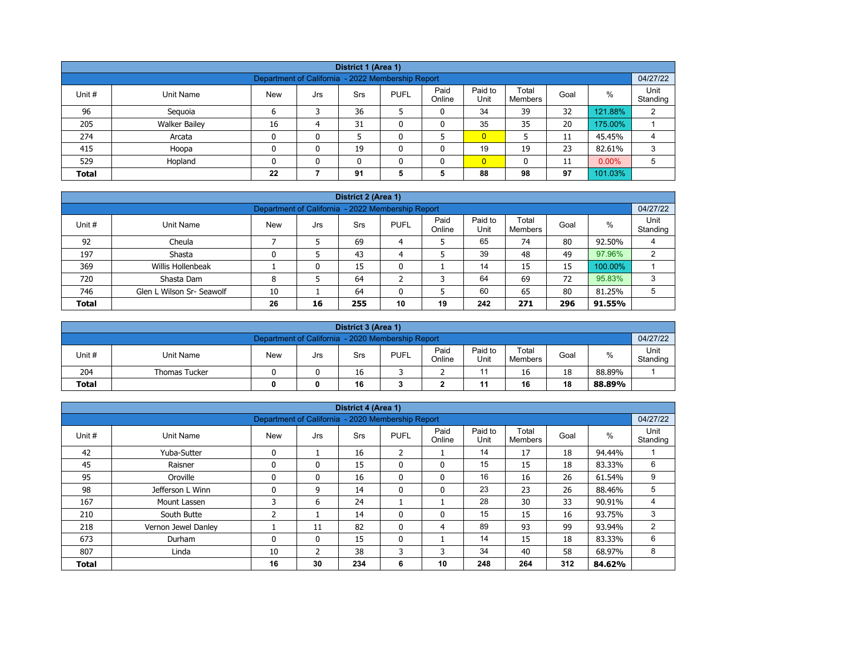| District 1 (Area 1)                                                                                                                                |                                                                       |    |   |    |  |  |                |    |    |         |   |  |  |
|----------------------------------------------------------------------------------------------------------------------------------------------------|-----------------------------------------------------------------------|----|---|----|--|--|----------------|----|----|---------|---|--|--|
| 04/27/22<br>Department of California - 2022 Membership Report                                                                                      |                                                                       |    |   |    |  |  |                |    |    |         |   |  |  |
| Paid<br>Paid to<br>Total<br>%<br>Unit #<br><b>New</b><br><b>PUFL</b><br>Unit Name<br><b>Srs</b><br>Goal<br>Jrs<br>Unit<br>Online<br><b>Members</b> |                                                                       |    |   |    |  |  |                |    |    |         |   |  |  |
| 96                                                                                                                                                 | Standing<br>36<br>34<br>32<br>121.88%<br>39<br>2<br>Seguoia<br>0<br>6 |    |   |    |  |  |                |    |    |         |   |  |  |
| 205                                                                                                                                                | <b>Walker Bailey</b>                                                  | 16 | 4 | 31 |  |  | 35             | 35 | 20 | 175.00% |   |  |  |
| 274                                                                                                                                                | Arcata                                                                |    | O |    |  |  | $\overline{0}$ |    | 11 | 45.45%  | 4 |  |  |
| 415                                                                                                                                                | Hoopa                                                                 |    | 0 | 19 |  |  | 19             | 19 | 23 | 82.61%  | 3 |  |  |
| 529                                                                                                                                                | $\overline{0}$<br>$0.00\%$<br>Hopland<br>11<br>0<br>0<br>0            |    |   |    |  |  |                |    |    |         |   |  |  |
| <b>Total</b>                                                                                                                                       | 88<br>101.03%<br>22<br>91<br>98<br>97<br>5<br>5                       |    |   |    |  |  |                |    |    |         |   |  |  |

| District 2 (Area 1) |                                                                                                                                                  |    |    |     |    |    |     |     |     |         |   |  |  |  |
|---------------------|--------------------------------------------------------------------------------------------------------------------------------------------------|----|----|-----|----|----|-----|-----|-----|---------|---|--|--|--|
|                     | 04/27/22<br>Department of California - 2022 Membership Report                                                                                    |    |    |     |    |    |     |     |     |         |   |  |  |  |
| Unit #              | Paid<br>Paid to<br>Total<br>$\%$<br><b>PUFL</b><br><b>New</b><br>Unit Name<br><b>Srs</b><br>Goal<br>Jrs<br>Online<br>Unit<br>Standing<br>Members |    |    |     |    |    |     |     |     |         |   |  |  |  |
| 92                  | Cheula                                                                                                                                           |    |    | 69  | 4  |    | 65  | 74  | 80  | 92.50%  | 4 |  |  |  |
| 197                 | Shasta                                                                                                                                           |    |    | 43  | 4  |    | 39  | 48  | 49  | 97.96%  | ົ |  |  |  |
| 369                 | Willis Hollenbeak                                                                                                                                |    | 0  | 15  | 0  |    | 14  | 15  | 15  | 100.00% |   |  |  |  |
| 720                 | Shasta Dam                                                                                                                                       | 8  |    | 64  |    | ີ  | 64  | 69  | 72  | 95.83%  | 3 |  |  |  |
| 746                 | 60<br>80<br>65<br>5<br>Glen L Wilson Sr- Seawolf<br>64<br>5<br>10<br>81.25%                                                                      |    |    |     |    |    |     |     |     |         |   |  |  |  |
| <b>Total</b>        |                                                                                                                                                  | 26 | 16 | 255 | 10 | 19 | 242 | 271 | 296 | 91.55%  |   |  |  |  |

| District 3 (Area 1)                                 |                                                                                                                            |  |  |    |  |  |  |    |    |        |                  |  |  |  |
|-----------------------------------------------------|----------------------------------------------------------------------------------------------------------------------------|--|--|----|--|--|--|----|----|--------|------------------|--|--|--|
|                                                     | 04/27/22<br>Department of California - 2020 Membership Report                                                              |  |  |    |  |  |  |    |    |        |                  |  |  |  |
| Unit#                                               | Paid<br>Paid to<br>Total<br>%<br><b>PUFL</b><br><b>New</b><br>Unit Name<br>Goal<br>Srs<br>Jrs<br>Online<br>Unit<br>Members |  |  |    |  |  |  |    |    |        | Unit<br>Standing |  |  |  |
| 204                                                 | <b>Thomas Tucker</b>                                                                                                       |  |  | 16 |  |  |  | 16 | 18 | 88.89% |                  |  |  |  |
| 16<br>18<br><b>Total</b><br>16<br>11<br>88.89%<br>0 |                                                                                                                            |  |  |    |  |  |  |    |    |        |                  |  |  |  |

| District 4 (Area 1)                                                                   |                     |                                                   |              |     |              |                |                 |                  |      |        |                  |  |  |
|---------------------------------------------------------------------------------------|---------------------|---------------------------------------------------|--------------|-----|--------------|----------------|-----------------|------------------|------|--------|------------------|--|--|
|                                                                                       |                     | Department of California - 2020 Membership Report |              |     |              |                |                 |                  |      |        | 04/27/22         |  |  |
| Unit #                                                                                | <b>Unit Name</b>    | <b>New</b>                                        | Jrs          | Srs | <b>PUFL</b>  | Paid<br>Online | Paid to<br>Unit | Total<br>Members | Goal | $\%$   | Unit<br>Standing |  |  |
| 42<br>14<br>16<br>$\overline{2}$<br>17<br>18<br>$\mathbf{0}$<br>94.44%<br>Yuba-Sutter |                     |                                                   |              |     |              |                |                 |                  |      |        |                  |  |  |
| 45                                                                                    | Raisner             | $\mathbf{0}$                                      | 0            | 15  | $\mathbf{0}$ | $\mathbf{0}$   | 15              | 15               | 18   | 83.33% | 6                |  |  |
| 95                                                                                    | Oroville            | $\Omega$                                          | 0            | 16  | $\mathbf{0}$ | $\mathbf{0}$   | 16              | 16               | 26   | 61.54% | 9                |  |  |
| 98                                                                                    | Jefferson L Winn    | $\mathbf{0}$                                      | 9            | 14  | 0            | 0              | 23              | 23               | 26   | 88.46% | 5                |  |  |
| 167                                                                                   | Mount Lassen        | 3                                                 | 6            | 24  |              |                | 28              | 30               | 33   | 90.91% | 4                |  |  |
| 210                                                                                   | South Butte         | 2                                                 |              | 14  | $\mathbf{0}$ | 0              | 15              | 15               | 16   | 93.75% | 3                |  |  |
| 218                                                                                   | Vernon Jewel Danley |                                                   | 11           | 82  | $\mathbf{0}$ | 4              | 89              | 93               | 99   | 93.94% | 2                |  |  |
| 673                                                                                   | Durham              | $\mathbf{0}$                                      | $\mathbf{0}$ | 15  | $\mathbf{0}$ |                | 14              | 15               | 18   | 83.33% | 6                |  |  |
| 807                                                                                   | Linda               | 10                                                | 2            | 38  | 3            | 3              | 34              | 40               | 58   | 68.97% | 8                |  |  |
| 312<br>16<br>30<br>10<br>248<br>264<br>234<br>6<br>84.62%<br><b>Total</b>             |                     |                                                   |              |     |              |                |                 |                  |      |        |                  |  |  |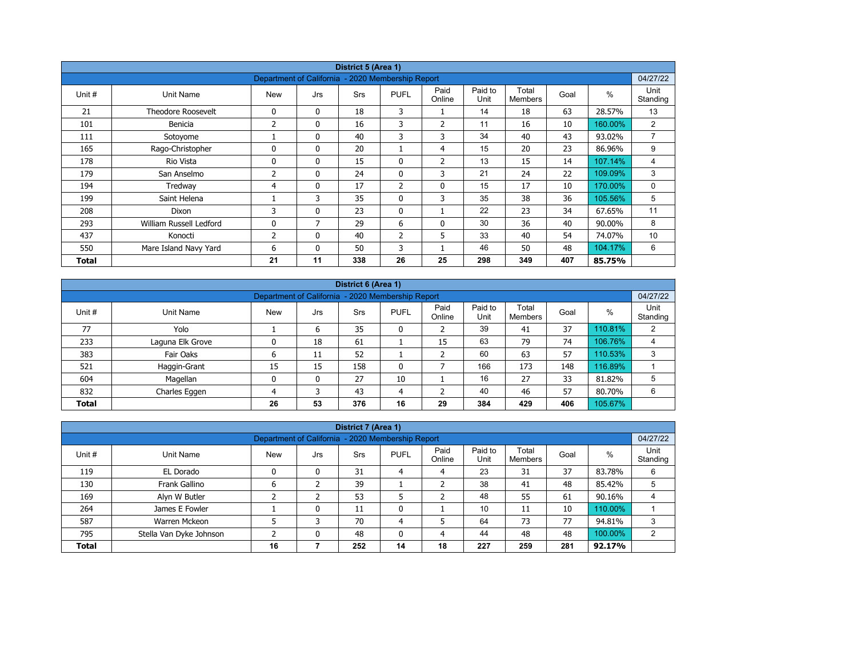| District 5 (Area 1) |                           |                                                   |              |            |                |                |                 |                         |      |         |                  |  |  |
|---------------------|---------------------------|---------------------------------------------------|--------------|------------|----------------|----------------|-----------------|-------------------------|------|---------|------------------|--|--|
|                     |                           | Department of California - 2020 Membership Report |              |            |                |                |                 |                         |      |         | 04/27/22         |  |  |
| Unit #              | Unit Name                 | <b>New</b>                                        | Jrs          | <b>Srs</b> | <b>PUFL</b>    | Paid<br>Online | Paid to<br>Unit | Total<br><b>Members</b> | Goal | $\%$    | Unit<br>Standing |  |  |
| 21                  | <b>Theodore Roosevelt</b> | 0                                                 | $\mathbf{0}$ | 18         | 3              |                | 14              | 18                      | 63   | 28.57%  | 13               |  |  |
| 101                 | Benicia                   | 2                                                 | 0            | 16         | 3              | $\overline{2}$ | 11              | 16                      | 10   | 160.00% | $\overline{2}$   |  |  |
| 111                 | Sotoyome                  |                                                   | $\mathbf{0}$ | 40         | 3              | 3              | 34              | 40                      | 43   | 93.02%  | $\overline{7}$   |  |  |
| 165                 | Rago-Christopher          | $\Omega$                                          | $\mathbf{0}$ | 20         |                | 4              | 15              | 20                      | 23   | 86.96%  | 9                |  |  |
| 178                 | Rio Vista                 | 0                                                 | $\mathbf{0}$ | 15         | 0              | 2              | 13              | 15                      | 14   | 107.14% | 4                |  |  |
| 179                 | San Anselmo               | 2                                                 | $\mathbf{0}$ | 24         | $\mathbf{0}$   | 3              | 21              | 24                      | 22   | 109.09% | 3                |  |  |
| 194                 | Tredway                   | 4                                                 | 0            | 17         | $\overline{2}$ | $\mathbf 0$    | 15              | 17                      | 10   | 170.00% | 0                |  |  |
| 199                 | Saint Helena              |                                                   | 3            | 35         | $\mathbf{0}$   | 3              | 35              | 38                      | 36   | 105.56% | 5                |  |  |
| 208                 | Dixon                     | 3                                                 | 0            | 23         | $\mathbf{0}$   |                | 22              | 23                      | 34   | 67.65%  | 11               |  |  |
| 293                 | William Russell Ledford   | 0                                                 | 7            | 29         | 6              | 0              | 30              | 36                      | 40   | 90.00%  | 8                |  |  |
| 437                 | Konocti                   | 2                                                 | $\mathbf{0}$ | 40         | $\overline{2}$ | 5              | 33              | 40                      | 54   | 74.07%  | 10               |  |  |
| 550                 | Mare Island Navy Yard     | 6                                                 | $\mathbf{0}$ | 50         | 3              |                | 46              | 50                      | 48   | 104.17% | 6                |  |  |
| Total               |                           | 21                                                | 11           | 338        | 26             | 25             | 298             | 349                     | 407  | 85.75%  |                  |  |  |

| District 6 (Area 1) |                                                                                                                                               |    |    |     |    |    |     |     |     |         |   |  |  |  |
|---------------------|-----------------------------------------------------------------------------------------------------------------------------------------------|----|----|-----|----|----|-----|-----|-----|---------|---|--|--|--|
|                     | 04/27/22<br>Department of California - 2020 Membership Report                                                                                 |    |    |     |    |    |     |     |     |         |   |  |  |  |
| Unit #              | Paid<br>Paid to<br>Total<br>%<br><b>PUFL</b><br>Goal<br><b>Srs</b><br>Unit Name<br><b>New</b><br>Jrs<br>Unit<br>Standing<br>Online<br>Members |    |    |     |    |    |     |     |     |         |   |  |  |  |
| 77                  | Yolo                                                                                                                                          |    | 6  | 35  | 0  |    | 39  | 41  | 37  | 110.81% | 2 |  |  |  |
| 233                 | Laguna Elk Grove                                                                                                                              | 0  | 18 | 61  |    | 15 | 63  | 79  | 74  | 106.76% | 4 |  |  |  |
| 383                 | Fair Oaks                                                                                                                                     | ь  | 11 | 52  |    |    | 60  | 63  | 57  | 110.53% | 3 |  |  |  |
| 521                 | Haggin-Grant                                                                                                                                  | 15 | 15 | 158 | 0  |    | 166 | 173 | 148 | 116.89% |   |  |  |  |
| 604                 | Magellan                                                                                                                                      | 0  | 0  | 27  | 10 |    | 16  | 27  | 33  | 81.82%  | 5 |  |  |  |
| 832                 | 40<br>6<br>43<br>57<br>46<br>80.70%<br>Charles Eggen<br>4<br>4                                                                                |    |    |     |    |    |     |     |     |         |   |  |  |  |
| <b>Total</b>        |                                                                                                                                               | 26 | 53 | 376 | 16 | 29 | 384 | 429 | 406 | 105.67% |   |  |  |  |

| District 7 (Area 1)                                                                                                                                                |                                                                                           |    |   |     |    |    |     |     |     |         |   |  |  |
|--------------------------------------------------------------------------------------------------------------------------------------------------------------------|-------------------------------------------------------------------------------------------|----|---|-----|----|----|-----|-----|-----|---------|---|--|--|
|                                                                                                                                                                    | 04/27/22<br>Department of California - 2020 Membership Report                             |    |   |     |    |    |     |     |     |         |   |  |  |
| Unit<br>Paid<br>Paid to<br>Total<br>$\%$<br>Unit #<br><b>New</b><br>Unit Name<br><b>PUFL</b><br>Goal<br><b>Srs</b><br>Jrs<br>Online<br>Unit<br>Standing<br>Members |                                                                                           |    |   |     |    |    |     |     |     |         |   |  |  |
| 119                                                                                                                                                                | EL Dorado                                                                                 |    | 0 | 31  | 4  | 4  | 23  | 31  | 37  | 83.78%  | 6 |  |  |
| 130                                                                                                                                                                | Frank Gallino                                                                             | 6  |   | 39  |    |    | 38  | 41  | 48  | 85.42%  |   |  |  |
| 169                                                                                                                                                                | Alyn W Butler                                                                             |    |   | 53  |    |    | 48  | 55  | 61  | 90.16%  | 4 |  |  |
| 264                                                                                                                                                                | James E Fowler                                                                            |    | 0 | 11  | 0  |    | 10  | 11  | 10  | 110.00% |   |  |  |
| 587                                                                                                                                                                | Warren Mckeon                                                                             |    | 3 | 70  | 4  |    | 64  | 73  | 77  | 94.81%  | 3 |  |  |
| 795                                                                                                                                                                | 44<br>48<br>100.00%<br>48<br>48<br>Stella Van Dyke Johnson<br>$\mathbf{0}$<br>0<br>2<br>4 |    |   |     |    |    |     |     |     |         |   |  |  |
| <b>Total</b>                                                                                                                                                       |                                                                                           | 16 |   | 252 | 14 | 18 | 227 | 259 | 281 | 92.17%  |   |  |  |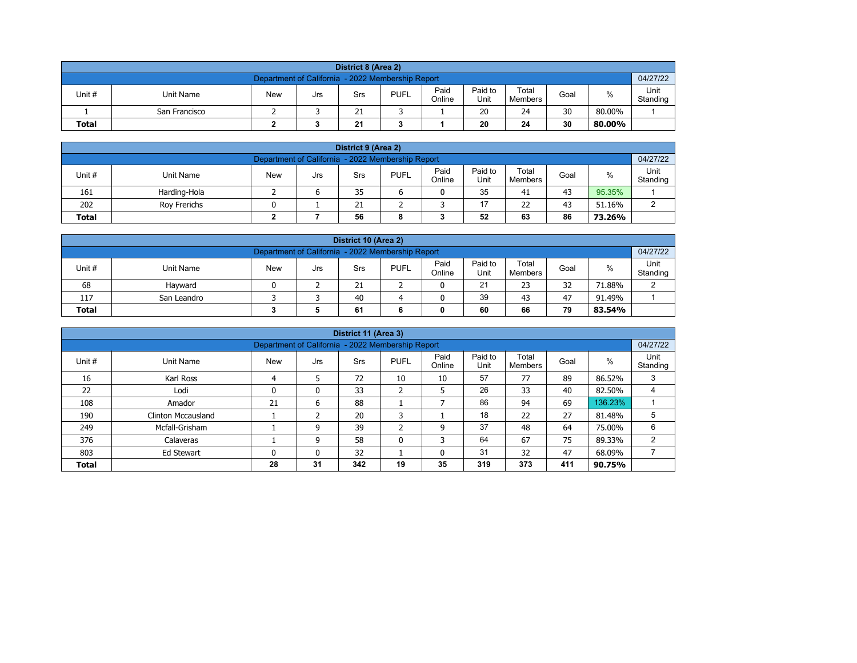| District 8 (Area 2) |                                                                                                                                        |  |  |    |  |  |    |    |    |        |  |  |  |  |
|---------------------|----------------------------------------------------------------------------------------------------------------------------------------|--|--|----|--|--|----|----|----|--------|--|--|--|--|
|                     | 04/27/22<br>Department of California - 2022 Membership Report                                                                          |  |  |    |  |  |    |    |    |        |  |  |  |  |
| Unit #              | Paid<br>Paid to<br>Total<br>%<br><b>PUFL</b><br>Unit Name<br><b>New</b><br>Goal<br>Srs<br>Jrs<br>Unit<br>Online<br>Standing<br>Members |  |  |    |  |  |    |    |    |        |  |  |  |  |
|                     | San Francisco                                                                                                                          |  |  | 21 |  |  | 20 | 24 | 30 | 80.00% |  |  |  |  |
| <b>Total</b>        |                                                                                                                                        |  |  | 21 |  |  | 20 | 24 | 30 | 80.00% |  |  |  |  |

| District 9 (Area 2)                                                                                                                                    |                                                     |  |  |    |  |  |    |    |    |        |  |  |  |  |
|--------------------------------------------------------------------------------------------------------------------------------------------------------|-----------------------------------------------------|--|--|----|--|--|----|----|----|--------|--|--|--|--|
| 04/27/22<br>Department of California - 2022 Membership Report                                                                                          |                                                     |  |  |    |  |  |    |    |    |        |  |  |  |  |
| Paid<br>Paid to<br>Total<br>Unit#<br>%<br><b>PUFL</b><br><b>New</b><br><b>Unit Name</b><br>Goal<br>Srs<br>Jrs<br>Online<br>Unit<br>Standing<br>Members |                                                     |  |  |    |  |  |    |    |    |        |  |  |  |  |
| 161                                                                                                                                                    | Harding-Hola                                        |  |  | 35 |  |  | 35 | 41 | 43 | 95.35% |  |  |  |  |
| 202                                                                                                                                                    | 17<br>43<br>22<br>51.16%<br>21<br>⌒<br>Rov Frerichs |  |  |    |  |  |    |    |    |        |  |  |  |  |
| 52<br>56<br>86<br>63<br><b>Total</b><br>73.26%<br>8                                                                                                    |                                                     |  |  |    |  |  |    |    |    |        |  |  |  |  |

| District 10 (Area 2)                                                                                                                                |                                               |  |  |    |  |  |    |    |    |        |        |  |  |  |
|-----------------------------------------------------------------------------------------------------------------------------------------------------|-----------------------------------------------|--|--|----|--|--|----|----|----|--------|--------|--|--|--|
| 04/27/22<br>Department of California - 2022 Membership Report                                                                                       |                                               |  |  |    |  |  |    |    |    |        |        |  |  |  |
| Paid<br>Paid to<br>Total<br>$\%$<br>Unit #<br><b>PUFL</b><br>Unit Name<br><b>New</b><br>Goal<br>Srs<br>Jrs<br>Online<br>Standing<br>Unit<br>Members |                                               |  |  |    |  |  |    |    |    |        |        |  |  |  |
| 68                                                                                                                                                  | Havward                                       |  |  | 21 |  |  | 21 | 23 | 32 | 71.88% | $\sim$ |  |  |  |
| 117                                                                                                                                                 | 39<br>40<br>47<br>43<br>91.49%<br>San Leandro |  |  |    |  |  |    |    |    |        |        |  |  |  |
| 79<br><b>Total</b><br>60<br>66<br>61<br>83.54%                                                                                                      |                                               |  |  |    |  |  |    |    |    |        |        |  |  |  |

|                                                                    |                                                                                                                                                   |    |    | District 11 (Area 3) |                   |    |     |     |     |         |   |  |  |  |  |
|--------------------------------------------------------------------|---------------------------------------------------------------------------------------------------------------------------------------------------|----|----|----------------------|-------------------|----|-----|-----|-----|---------|---|--|--|--|--|
|                                                                    | 04/27/22<br>Department of California - 2022 Membership Report                                                                                     |    |    |                      |                   |    |     |     |     |         |   |  |  |  |  |
| Unit #                                                             | Paid<br>Paid to<br>Total<br>Unit<br>$\%$<br><b>New</b><br><b>PUFL</b><br>Goal<br>Unit Name<br>Srs<br>Jrs<br>Unit<br>Online<br>Standing<br>Members |    |    |                      |                   |    |     |     |     |         |   |  |  |  |  |
| 16                                                                 | Karl Ross                                                                                                                                         | 4  | 5  | 72                   | 10                | 10 | 57  | 77  | 89  | 86.52%  | 3 |  |  |  |  |
| 22                                                                 | Lodi                                                                                                                                              | 0  | 0  | 33                   | h<br>$\epsilon$   | 5  | 26  | 33  | 40  | 82.50%  |   |  |  |  |  |
| 108                                                                | Amador                                                                                                                                            | 21 | 6  | 88                   |                   |    | 86  | 94  | 69  | 136.23% |   |  |  |  |  |
| 190                                                                | <b>Clinton Mccausland</b>                                                                                                                         |    |    | 20                   | 3                 |    | 18  | 22  | 27  | 81.48%  | 5 |  |  |  |  |
| 249                                                                | Mcfall-Grisham                                                                                                                                    |    | 9  | 39                   | <sup>-</sup><br>∠ | 9  | 37  | 48  | 64  | 75.00%  | 6 |  |  |  |  |
| 376                                                                | Calaveras                                                                                                                                         |    | 9  | 58                   | 0                 | 3  | 64  | 67  | 75  | 89.33%  | 2 |  |  |  |  |
| 31<br>47<br>803<br>32<br>32<br>68.09%<br>0<br>0<br>0<br>Ed Stewart |                                                                                                                                                   |    |    |                      |                   |    |     |     |     |         |   |  |  |  |  |
| <b>Total</b>                                                       |                                                                                                                                                   | 28 | 31 | 342                  | 19                | 35 | 319 | 373 | 411 | 90.75%  |   |  |  |  |  |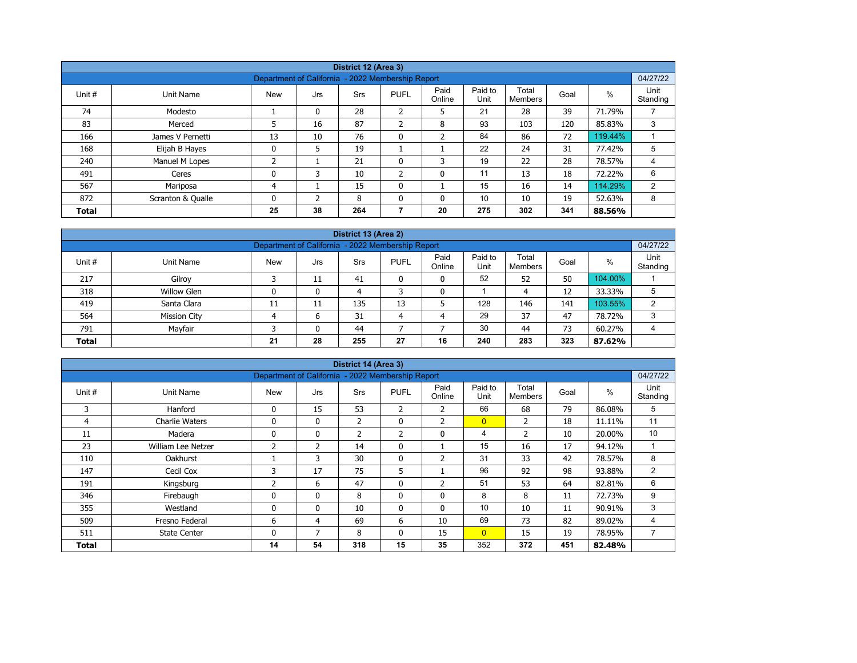|              |                   |                                                   |          | District 12 (Area 3) |                |                |                 |                  |      |         |                  |  |  |
|--------------|-------------------|---------------------------------------------------|----------|----------------------|----------------|----------------|-----------------|------------------|------|---------|------------------|--|--|
|              |                   | Department of California - 2022 Membership Report |          |                      |                |                |                 |                  |      |         | 04/27/22         |  |  |
| Unit #       | Unit Name         | <b>New</b>                                        | Jrs      | <b>Srs</b>           | <b>PUFL</b>    | Paid<br>Online | Paid to<br>Unit | Total<br>Members | Goal | %       | Unit<br>Standing |  |  |
| 74           | Modesto           |                                                   | $\Omega$ | 28                   | ำ<br>∠         | 5              | 21              | 28               | 39   | 71.79%  |                  |  |  |
| 83           | Merced            | 5                                                 | 16       | 87                   | $\overline{2}$ | 8              | 93              | 103              | 120  | 85.83%  | 3                |  |  |
| 166          | James V Pernetti  | 13                                                | 10       | 76                   | $\mathbf 0$    | $\overline{2}$ | 84              | 86               | 72   | 119.44% |                  |  |  |
| 168          | Elijah B Hayes    | 0                                                 | 5        | 19                   |                |                | 22              | 24               | 31   | 77.42%  | 5                |  |  |
| 240          | Manuel M Lopes    | 2                                                 |          | 21                   | 0              | 3              | 19              | 22               | 28   | 78.57%  | 4                |  |  |
| 491          | Ceres             | 0                                                 | 3        | 10                   | $\overline{2}$ | 0              | 11              | 13               | 18   | 72.22%  | 6                |  |  |
| 567          | Mariposa          | 4                                                 |          | 15                   | $\mathbf{0}$   |                | 15              | 16               | 14   | 114.29% | 2                |  |  |
| 872          | Scranton & Qualle | 0                                                 | C.       | 8                    | $\mathbf{0}$   | 0              | 10              | 10               | 19   | 52.63%  | 8                |  |  |
| <b>Total</b> |                   | 25                                                | 38       | 264                  | 7              | 20             | 275             | 302              | 341  | 88.56%  |                  |  |  |

| District 13 (Area 2)                                                                                                                               |                                                               |    |    |     |    |    |     |     |     |         |   |  |  |  |  |
|----------------------------------------------------------------------------------------------------------------------------------------------------|---------------------------------------------------------------|----|----|-----|----|----|-----|-----|-----|---------|---|--|--|--|--|
|                                                                                                                                                    | 04/27/22<br>Department of California - 2022 Membership Report |    |    |     |    |    |     |     |     |         |   |  |  |  |  |
| Paid<br>Paid to<br>Total<br>$\%$<br>Unit#<br><b>New</b><br><b>PUFL</b><br>Unit Name<br>Goal<br>Srs<br>Jrs<br>Standing<br>Online<br>Unit<br>Members |                                                               |    |    |     |    |    |     |     |     |         |   |  |  |  |  |
| 217                                                                                                                                                | Gilroy                                                        |    | 11 | 41  |    | 0  | 52  | 52  | 50  | 104.00% |   |  |  |  |  |
| 318                                                                                                                                                | <b>Willow Glen</b>                                            |    | 0  | 4   |    | 0  |     | 4   | 12  | 33.33%  | 5 |  |  |  |  |
| 419                                                                                                                                                | Santa Clara                                                   | 11 | 11 | 135 | 13 |    | 128 | 146 | 141 | 103.55% | 2 |  |  |  |  |
| 564                                                                                                                                                | <b>Mission City</b>                                           |    | 6  | 31  | 4  | 4  | 29  | 37  | 47  | 78.72%  | 3 |  |  |  |  |
| Mayfair<br>30<br>73<br>791<br>44<br>44<br>60.27%<br>$\mathbf{0}$<br>4                                                                              |                                                               |    |    |     |    |    |     |     |     |         |   |  |  |  |  |
| <b>Total</b>                                                                                                                                       |                                                               | 21 | 28 | 255 | 27 | 16 | 240 | 283 | 323 | 87.62%  |   |  |  |  |  |

| District 14 (Area 3)<br>Department of California - 2022 Membership Report |                       |                |                |                |                |                |                 |                         |      |        |                  |  |  |
|---------------------------------------------------------------------------|-----------------------|----------------|----------------|----------------|----------------|----------------|-----------------|-------------------------|------|--------|------------------|--|--|
|                                                                           |                       |                |                |                |                |                |                 |                         |      |        | 04/27/22         |  |  |
| Unit #                                                                    | Unit Name             | <b>New</b>     | Jrs            | <b>Srs</b>     | <b>PUFL</b>    | Paid<br>Online | Paid to<br>Unit | Total<br><b>Members</b> | Goal | %      | Unit<br>Standing |  |  |
| 3                                                                         | Hanford               | $\mathbf{0}$   | 15             | 53             | $\overline{2}$ | 2              | 66              | 68                      | 79   | 86.08% | 5                |  |  |
| 4                                                                         | <b>Charlie Waters</b> | 0              | 0              | $\overline{2}$ | 0              | $\overline{2}$ | $\overline{0}$  | 2                       | 18   | 11.11% | 11               |  |  |
| 11                                                                        | Madera                | 0              | 0              | $\overline{2}$ | 2              | $\mathbf 0$    | 4               | $\overline{2}$          | 10   | 20.00% | 10               |  |  |
| 23                                                                        | William Lee Netzer    | $\overline{2}$ | $\overline{2}$ | 14             | $\mathbf{0}$   |                | 15              | 16                      | 17   | 94.12% |                  |  |  |
| 110                                                                       | <b>Oakhurst</b>       |                | 3              | 30             | 0              | $\overline{2}$ | 31              | 33                      | 42   | 78.57% | 8                |  |  |
| 147                                                                       | Cecil Cox             | 3              | 17             | 75             | 5              |                | 96              | 92                      | 98   | 93.88% | $\overline{2}$   |  |  |
| 191                                                                       | Kingsburg             | 2              | 6              | 47             | $\mathbf{0}$   | 2              | 51              | 53                      | 64   | 82.81% | 6                |  |  |
| 346                                                                       | Firebaugh             | 0              | 0              | 8              | 0              | 0              | 8               | 8                       | 11   | 72.73% | 9                |  |  |
| 355                                                                       | Westland              | 0              | $\mathbf{0}$   | 10             | $\mathbf{0}$   | $\mathbf{0}$   | 10              | 10                      | 11   | 90.91% | 3                |  |  |
| 509                                                                       | Fresno Federal        | 6              | 4              | 69             | 6              | 10             | 69              | 73                      | 82   | 89.02% | 4                |  |  |
| 511                                                                       | <b>State Center</b>   | $\mathbf{0}$   | 7              | 8              | $\mathbf{0}$   | 15             | $\overline{0}$  | 15                      | 19   | 78.95% | 7                |  |  |
| Total                                                                     |                       | 14             | 54             | 318            | 15             | 35             | 352             | 372                     | 451  | 82.48% |                  |  |  |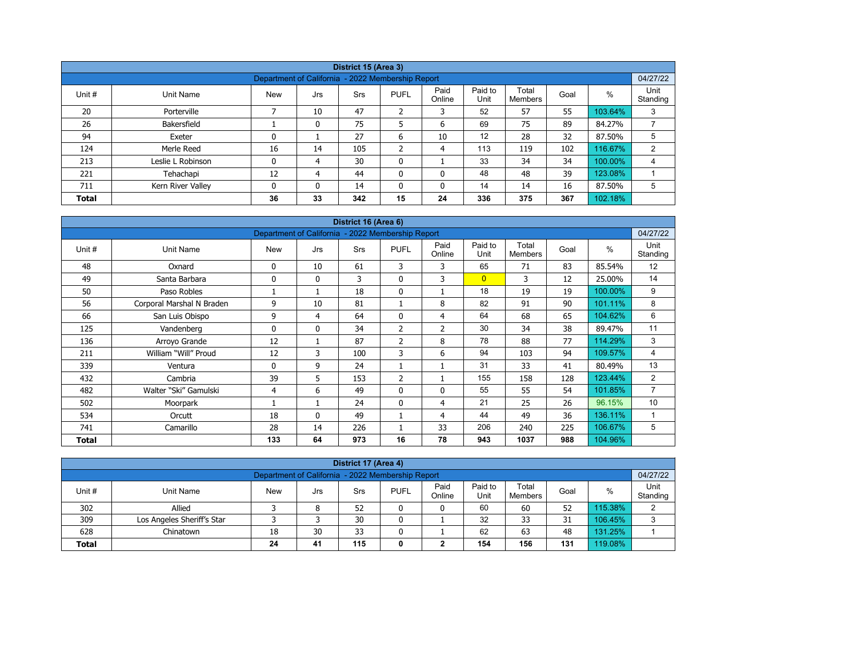|              |                                                                                                                                                |                                                   |          | District 15 (Area 3) |                |    |     |     |     |         |                |  |  |  |
|--------------|------------------------------------------------------------------------------------------------------------------------------------------------|---------------------------------------------------|----------|----------------------|----------------|----|-----|-----|-----|---------|----------------|--|--|--|
|              |                                                                                                                                                | Department of California - 2022 Membership Report |          |                      |                |    |     |     |     |         | 04/27/22       |  |  |  |
| Unit #       | Paid to<br>Paid<br>Unit<br>Total<br>%<br><b>PUFL</b><br>Goal<br>Unit Name<br><b>New</b><br>Srs<br>Jrs<br>Unit<br>Online<br>Standing<br>Members |                                                   |          |                      |                |    |     |     |     |         |                |  |  |  |
| 20           | Porterville                                                                                                                                    |                                                   | 10       | 47                   | $\overline{2}$ | 3  | 52  | 57  | 55  | 103.64% | 3              |  |  |  |
| 26           | Bakersfield                                                                                                                                    |                                                   | 0        | 75                   | 5              | 6  | 69  | 75  | 89  | 84.27%  | ⇁              |  |  |  |
| 94           | Exeter                                                                                                                                         | 0                                                 |          | 27                   | 6              | 10 | 12  | 28  | 32  | 87.50%  | 5              |  |  |  |
| 124          | Merle Reed                                                                                                                                     | 16                                                | 14       | 105                  | ำ<br>∠         | 4  | 113 | 119 | 102 | 116.67% | $\overline{2}$ |  |  |  |
| 213          | Leslie L Robinson                                                                                                                              | 0                                                 | 4        | 30                   | 0              |    | 33  | 34  | 34  | 100.00% | 4              |  |  |  |
| 221          | Tehachapi                                                                                                                                      | 12                                                | 4        | 44                   | 0              | 0  | 48  | 48  | 39  | 123.08% |                |  |  |  |
| 711          | Kern River Valley                                                                                                                              | 0                                                 | $\Omega$ | 14                   | $\mathbf{0}$   | 0  | 14  | 14  | 16  | 87.50%  | 5              |  |  |  |
| <b>Total</b> |                                                                                                                                                | 36                                                | 33       | 342                  | 15             | 24 | 336 | 375 | 367 | 102.18% |                |  |  |  |

| District 16 (Area 6) |                           |                                                   |              |     |                |                |                 |                         |      |         |                  |  |  |
|----------------------|---------------------------|---------------------------------------------------|--------------|-----|----------------|----------------|-----------------|-------------------------|------|---------|------------------|--|--|
|                      |                           | Department of California - 2022 Membership Report |              |     |                |                |                 |                         |      |         | 04/27/22         |  |  |
| Unit #               | Unit Name                 | <b>New</b>                                        | Jrs          | Srs | <b>PUFL</b>    | Paid<br>Online | Paid to<br>Unit | Total<br><b>Members</b> | Goal | $\%$    | Unit<br>Standing |  |  |
| 48                   | Oxnard                    | 0                                                 | 10           | 61  | 3              | 3              | 65              | 71                      | 83   | 85.54%  | 12               |  |  |
| 49                   | Santa Barbara             | 0                                                 | $\mathbf{0}$ | 3   | $\mathbf{0}$   | 3              | $\overline{0}$  | 3                       | 12   | 25.00%  | 14               |  |  |
| 50                   | Paso Robles               |                                                   | 1            | 18  | $\mathbf 0$    |                | 18              | 19                      | 19   | 100.00% | 9                |  |  |
| 56                   | Corporal Marshal N Braden | 9                                                 | 10           | 81  |                | 8              | 82              | 91                      | 90   | 101.11% | 8                |  |  |
| 66                   | San Luis Obispo           | 9                                                 | 4            | 64  | $\mathbf{0}$   | 4              | 64              | 68                      | 65   | 104.62% | 6                |  |  |
| 125                  | Vandenberg                | 0                                                 | $\mathbf{0}$ | 34  | 2              | $\overline{2}$ | 30              | 34                      | 38   | 89.47%  | 11               |  |  |
| 136                  | Arroyo Grande             | 12                                                | 1            | 87  | $\overline{2}$ | 8              | 78              | 88                      | 77   | 114.29% | 3                |  |  |
| 211                  | William "Will" Proud      | 12                                                | 3            | 100 | 3              | 6              | 94              | 103                     | 94   | 109.57% | 4                |  |  |
| 339                  | Ventura                   | 0                                                 | 9            | 24  |                |                | 31              | 33                      | 41   | 80.49%  | 13               |  |  |
| 432                  | Cambria                   | 39                                                | 5            | 153 | $\overline{2}$ |                | 155             | 158                     | 128  | 123.44% | 2                |  |  |
| 482                  | Walter "Ski" Gamulski     | 4                                                 | 6            | 49  | $\mathbf{0}$   | $\Omega$       | 55              | 55                      | 54   | 101.85% | $\overline{7}$   |  |  |
| 502                  | Moorpark                  |                                                   | 1            | 24  | $\mathbf{0}$   | 4              | 21              | 25                      | 26   | 96.15%  | 10               |  |  |
| 534                  | Orcutt                    | 18                                                | $\mathbf{0}$ | 49  |                | 4              | 44              | 49                      | 36   | 136.11% | 1                |  |  |
| 741                  | Camarillo                 | 28                                                | 14           | 226 |                | 33             | 206             | 240                     | 225  | 106.67% | 5                |  |  |
| <b>Total</b>         |                           | 133                                               | 64           | 973 | 16             | 78             | 943             | 1037                    | 988  | 104.96% |                  |  |  |

| District 17 (Area 4)                                                                                                                            |                            |    |    |    |   |   |    |    |    |         |   |  |  |
|-------------------------------------------------------------------------------------------------------------------------------------------------|----------------------------|----|----|----|---|---|----|----|----|---------|---|--|--|
| 04/27/22<br>Department of California - 2022 Membership Report                                                                                   |                            |    |    |    |   |   |    |    |    |         |   |  |  |
| Paid to<br>Paid<br>Total<br>Unit#<br><b>PUFL</b><br>%<br><b>New</b><br>Goal<br>Unit Name<br>Srs<br>Jrs<br>Online<br>Standing<br>Unit<br>Members |                            |    |    |    |   |   |    |    |    |         |   |  |  |
| 302                                                                                                                                             | Allied                     |    | 8  | 52 |   | 0 | 60 | 60 | 52 | 15.38%  | ◠ |  |  |
| 309                                                                                                                                             | Los Angeles Sheriff's Star |    |    | 30 | 0 |   | 32 | 33 | 31 | 106.45% | 3 |  |  |
| 628                                                                                                                                             | Chinatown                  | 18 | 30 | 33 |   |   | 62 | 63 | 48 | 131.25% |   |  |  |
| 131<br>19.08%<br>115<br>156<br>154<br>24<br>41<br><b>Total</b><br>0<br>◠                                                                        |                            |    |    |    |   |   |    |    |    |         |   |  |  |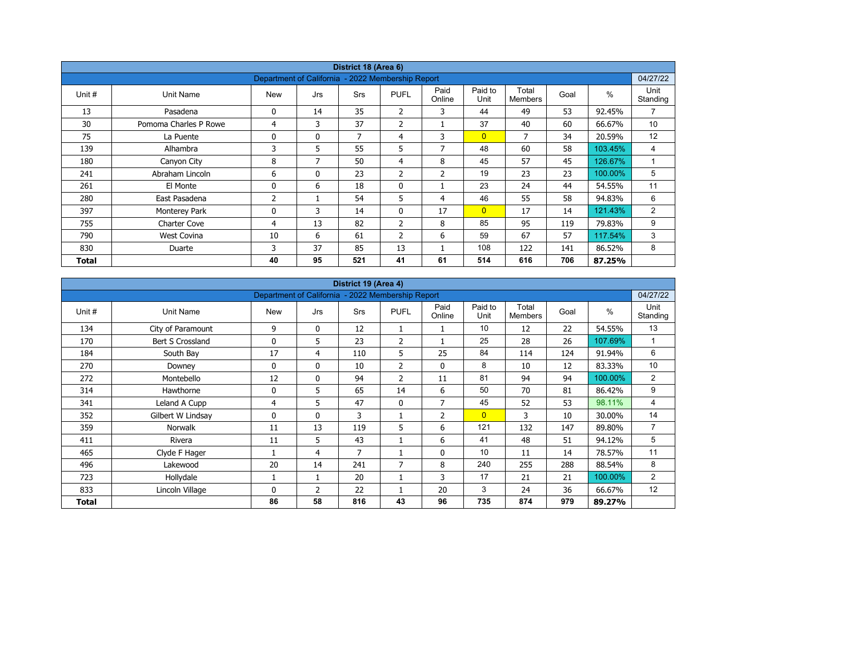| District 18 (Area 6) |                       |                                                   |              |            |                |                |                 |                  |      |         |                  |  |  |
|----------------------|-----------------------|---------------------------------------------------|--------------|------------|----------------|----------------|-----------------|------------------|------|---------|------------------|--|--|
|                      |                       | Department of California - 2022 Membership Report |              |            |                |                |                 |                  |      |         | 04/27/22         |  |  |
| Unit #               | Unit Name             | <b>New</b>                                        | Jrs          | <b>Srs</b> | <b>PUFL</b>    | Paid<br>Online | Paid to<br>Unit | Total<br>Members | Goal | $\%$    | Unit<br>Standing |  |  |
| 13                   | Pasadena              | 0                                                 | 14           | 35         | $\overline{2}$ | 3              | 44              | 49               | 53   | 92.45%  | $\overline{7}$   |  |  |
| 30                   | Pomoma Charles P Rowe | 4                                                 | 3            | 37         | $\overline{2}$ |                | 37              | 40               | 60   | 66.67%  | 10 <sup>°</sup>  |  |  |
| 75                   | La Puente             | 0                                                 | $\mathbf{0}$ | 7          | 4              | 3              | $\overline{0}$  | 7                | 34   | 20.59%  | 12               |  |  |
| 139                  | Alhambra              | 3                                                 | 5            | 55         | 5              | 7              | 48              | 60               | 58   | 103.45% | 4                |  |  |
| 180                  | Canyon City           | 8                                                 | 7            | 50         | $\overline{4}$ | 8              | 45              | 57               | 45   | 126.67% | $\overline{A}$   |  |  |
| 241                  | Abraham Lincoln       | 6                                                 | $\mathbf{0}$ | 23         | $\overline{2}$ | $\overline{2}$ | 19              | 23               | 23   | 100.00% | 5                |  |  |
| 261                  | El Monte              | 0                                                 | 6            | 18         | $\mathbf 0$    |                | 23              | 24               | 44   | 54.55%  | 11               |  |  |
| 280                  | East Pasadena         | $\overline{2}$                                    |              | 54         | 5              | 4              | 46              | 55               | 58   | 94.83%  | 6                |  |  |
| 397                  | Monterey Park         | 0                                                 | 3            | 14         | $\mathbf{0}$   | 17             | $\overline{0}$  | 17               | 14   | 121.43% | $\overline{2}$   |  |  |
| 755                  | <b>Charter Cove</b>   | 4                                                 | 13           | 82         | $\overline{2}$ | 8              | 85              | 95               | 119  | 79.83%  | 9                |  |  |
| 790                  | <b>West Covina</b>    | 10                                                | 6            | 61         | $\overline{2}$ | 6              | 59              | 67               | 57   | 117.54% | 3                |  |  |
| 830                  | Duarte                | 3                                                 | 37           | 85         | 13             |                | 108             | 122              | 141  | 86.52%  | 8                |  |  |
| Total                |                       | 40                                                | 95           | 521        | 41             | 61             | 514             | 616              | 706  | 87.25%  |                  |  |  |

| District 19 (Area 4) |                   |                                                   |              |     |                |                |                 |                         |      |               |                  |  |  |
|----------------------|-------------------|---------------------------------------------------|--------------|-----|----------------|----------------|-----------------|-------------------------|------|---------------|------------------|--|--|
|                      |                   | Department of California - 2022 Membership Report |              |     |                |                |                 |                         |      |               | 04/27/22         |  |  |
| Unit #               | Unit Name         | <b>New</b>                                        | Jrs          | Srs | <b>PUFL</b>    | Paid<br>Online | Paid to<br>Unit | Total<br><b>Members</b> | Goal | $\frac{0}{0}$ | Unit<br>Standing |  |  |
| 134                  | City of Paramount | 9                                                 | $\mathbf 0$  | 12  | 1              |                | 10              | 12                      | 22   | 54.55%        | 13               |  |  |
| 170                  | Bert S Crossland  | 0                                                 | 5            | 23  | $\overline{2}$ |                | 25              | 28                      | 26   | 107.69%       | $\mathbf{1}$     |  |  |
| 184                  | South Bay         | 17                                                | 4            | 110 | 5              | 25             | 84              | 114                     | 124  | 91.94%        | 6                |  |  |
| 270                  | Downey            | 0                                                 | $\mathbf{0}$ | 10  | 2              | $\mathbf 0$    | 8               | 10                      | 12   | 83.33%        | 10               |  |  |
| 272                  | Montebello        | 12                                                | $\mathbf{0}$ | 94  | $\overline{2}$ | 11             | 81              | 94                      | 94   | 100.00%       | 2                |  |  |
| 314                  | Hawthorne         | 0                                                 | 5            | 65  | 14             | 6              | 50              | 70                      | 81   | 86.42%        | 9                |  |  |
| 341                  | Leland A Cupp     | 4                                                 | 5            | 47  | $\mathbf{0}$   | $\overline{7}$ | 45              | 52                      | 53   | 98.11%        | 4                |  |  |
| 352                  | Gilbert W Lindsay | 0                                                 | $\mathbf{0}$ | 3   |                | $\overline{2}$ | $\overline{0}$  | 3                       | 10   | 30.00%        | 14               |  |  |
| 359                  | <b>Norwalk</b>    | 11                                                | 13           | 119 | 5              | 6              | 121             | 132                     | 147  | 89.80%        | $\overline{7}$   |  |  |
| 411                  | Rivera            | 11                                                | 5            | 43  |                | 6              | 41              | 48                      | 51   | 94.12%        | 5                |  |  |
| 465                  | Clyde F Hager     |                                                   | 4            | 7   |                | $\mathbf 0$    | 10              | 11                      | 14   | 78.57%        | 11               |  |  |
| 496                  | Lakewood          | 20                                                | 14           | 241 | 7              | 8              | 240             | 255                     | 288  | 88.54%        | 8                |  |  |
| 723                  | Hollydale         |                                                   | 1            | 20  |                | 3              | 17              | 21                      | 21   | 100.00%       | $\overline{2}$   |  |  |
| 833                  | Lincoln Village   | 0                                                 | 2            | 22  |                | 20             | 3               | 24                      | 36   | 66.67%        | 12               |  |  |
| Total                |                   | 86                                                | 58           | 816 | 43             | 96             | 735             | 874                     | 979  | 89.27%        |                  |  |  |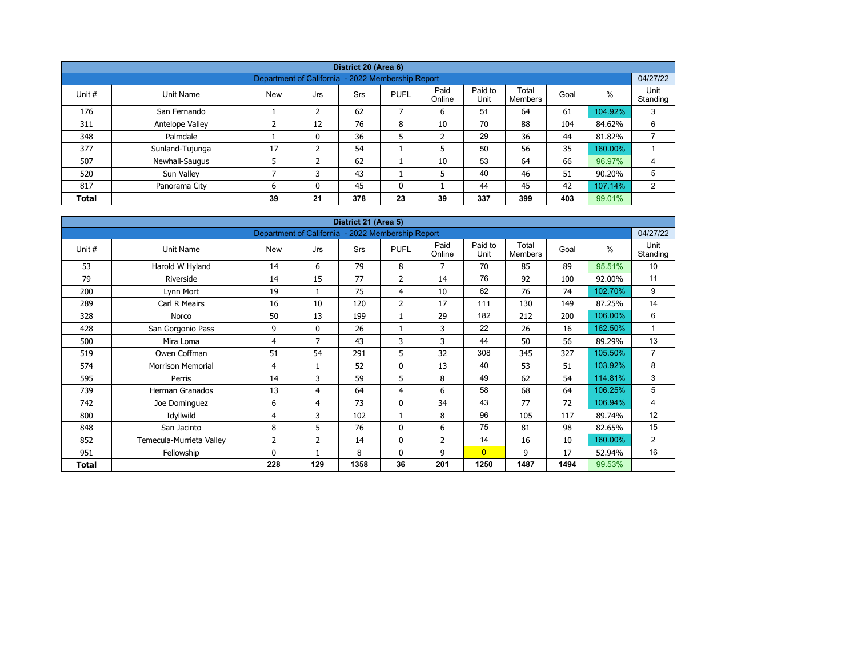|                                                                            |                 |                                                   |     | District 20 (Area 6) |              |                |                 |                  |      |         |                  |  |  |
|----------------------------------------------------------------------------|-----------------|---------------------------------------------------|-----|----------------------|--------------|----------------|-----------------|------------------|------|---------|------------------|--|--|
|                                                                            |                 | Department of California - 2022 Membership Report |     |                      |              |                |                 |                  |      |         | 04/27/22         |  |  |
| Unit #                                                                     | Unit Name       | <b>New</b>                                        | Jrs | <b>Srs</b>           | <b>PUFL</b>  | Paid<br>Online | Paid to<br>Unit | Total<br>Members | Goal | %       | Unit<br>Standing |  |  |
| 176                                                                        | San Fernando    |                                                   | 2   | 62                   | 7            | 6              | 51              | 64               | 61   | 104.92% | 3                |  |  |
| 311                                                                        | Antelope Valley | ∍                                                 | 12  | 76                   | 8            | 10             | 70              | 88               | 104  | 84.62%  | 6                |  |  |
| 348                                                                        | Palmdale        |                                                   | 0   | 36                   | 5            | $\overline{2}$ | 29              | 36               | 44   | 81.82%  |                  |  |  |
| 377                                                                        | Sunland-Tujunga | 17                                                | ຳ   | 54                   |              | 5              | 50              | 56               | 35   | 160.00% |                  |  |  |
| 507                                                                        | Newhall-Saugus  |                                                   | 2   | 62                   |              | 10             | 53              | 64               | 66   | 96.97%  | 4                |  |  |
| 520                                                                        | Sun Valley      | ⇁                                                 |     | 43                   |              | 5              | 40              | 46               | 51   | 90.20%  | 5                |  |  |
| 817                                                                        | Panorama City   | 6                                                 | 0   | 45                   | $\mathbf{0}$ |                | 44              | 45               | 42   | 107.14% | 2                |  |  |
| 23<br>337<br>399<br>403<br>99.01%<br>39<br>21<br>378<br>39<br><b>Total</b> |                 |                                                   |     |                      |              |                |                 |                  |      |         |                  |  |  |

| District 21 (Area 5) |                          |                                                   |                |            |                |                |                 |                         |      |               |                  |  |  |
|----------------------|--------------------------|---------------------------------------------------|----------------|------------|----------------|----------------|-----------------|-------------------------|------|---------------|------------------|--|--|
|                      |                          | Department of California - 2022 Membership Report |                |            |                |                |                 |                         |      |               | 04/27/22         |  |  |
| Unit #               | <b>Unit Name</b>         | <b>New</b>                                        | Jrs            | <b>Srs</b> | <b>PUFL</b>    | Paid<br>Online | Paid to<br>Unit | Total<br><b>Members</b> | Goal | $\frac{0}{0}$ | Unit<br>Standing |  |  |
| 53                   | Harold W Hyland          | 14                                                | 6              | 79         | 8              | 7              | 70              | 85                      | 89   | 95.51%        | 10               |  |  |
| 79                   | Riverside                | 14                                                | 15             | 77         | 2              | 14             | 76              | 92                      | 100  | 92.00%        | 11               |  |  |
| 200                  | Lynn Mort                | 19                                                |                | 75         | 4              | 10             | 62              | 76                      | 74   | 102.70%       | 9                |  |  |
| 289                  | Carl R Meairs            | 16                                                | 10             | 120        | $\overline{2}$ | 17             | 111             | 130                     | 149  | 87.25%        | 14               |  |  |
| 328                  | Norco                    | 50                                                | 13             | 199        | 1              | 29             | 182             | 212                     | 200  | 106.00%       | 6                |  |  |
| 428                  | San Gorgonio Pass        | 9                                                 | $\mathbf{0}$   | 26         | 1              | 3              | 22              | 26                      | 16   | 162.50%       | 1                |  |  |
| 500                  | Mira Loma                | 4                                                 | $\overline{7}$ | 43         | 3              | 3              | 44              | 50                      | 56   | 89.29%        | 13               |  |  |
| 519                  | Owen Coffman             | 51                                                | 54             | 291        | 5              | 32             | 308             | 345                     | 327  | 105.50%       | $\overline{7}$   |  |  |
| 574                  | <b>Morrison Memorial</b> | 4                                                 | $\mathbf{1}$   | 52         | 0              | 13             | 40              | 53                      | 51   | 103.92%       | 8                |  |  |
| 595                  | Perris                   | 14                                                | 3              | 59         | 5              | 8              | 49              | 62                      | 54   | 114.81%       | 3                |  |  |
| 739                  | <b>Herman Granados</b>   | 13                                                | 4              | 64         | 4              | 6              | 58              | 68                      | 64   | 106.25%       | 5                |  |  |
| 742                  | Joe Dominguez            | 6                                                 | 4              | 73         | $\mathbf 0$    | 34             | 43              | 77                      | 72   | 106.94%       | 4                |  |  |
| 800                  | Idyllwild                | 4                                                 | 3              | 102        | $\mathbf{1}$   | 8              | 96              | 105                     | 117  | 89.74%        | 12               |  |  |
| 848                  | San Jacinto              | 8                                                 | 5              | 76         | $\mathbf 0$    | 6              | 75              | 81                      | 98   | 82.65%        | 15               |  |  |
| 852                  | Temecula-Murrieta Valley | 2                                                 | 2              | 14         | 0              | $\overline{2}$ | 14              | 16                      | 10   | 160.00%       | $\overline{2}$   |  |  |
| 951                  | Fellowship               | $\Omega$                                          |                | 8          | $\mathbf{0}$   | 9              | $\overline{0}$  | 9                       | 17   | 52.94%        | 16               |  |  |
| Total                |                          | 228                                               | 129            | 1358       | 36             | 201            | 1250            | 1487                    | 1494 | 99.53%        |                  |  |  |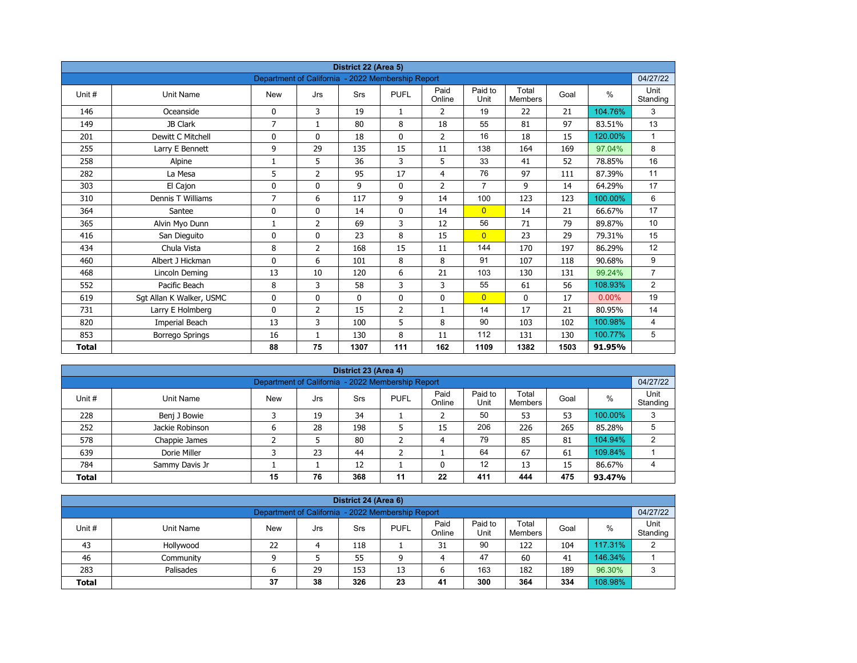| District 22 (Area 5) |                          |                                                   |                |             |                |                |                 |                         |      |          |                  |  |  |
|----------------------|--------------------------|---------------------------------------------------|----------------|-------------|----------------|----------------|-----------------|-------------------------|------|----------|------------------|--|--|
|                      |                          | Department of California - 2022 Membership Report |                |             |                |                |                 |                         |      |          | 04/27/22         |  |  |
| Unit#                | <b>Unit Name</b>         | <b>New</b>                                        | Jrs            | Srs         | <b>PUFL</b>    | Paid<br>Online | Paid to<br>Unit | Total<br><b>Members</b> | Goal | $\%$     | Unit<br>Standing |  |  |
| 146                  | Oceanside                | 0                                                 | 3              | 19          | $\mathbf{1}$   | 2              | 19              | 22                      | 21   | 104.76%  | 3                |  |  |
| 149                  | JB Clark                 | $\overline{7}$                                    | $\mathbf{1}$   | 80          | 8              | 18             | 55              | 81                      | 97   | 83.51%   | 13               |  |  |
| 201                  | Dewitt C Mitchell        | 0                                                 | $\mathbf{0}$   | 18          | $\mathbf{0}$   | $\overline{2}$ | 16              | 18                      | 15   | 120.00%  | $\mathbf{1}$     |  |  |
| 255                  | Larry E Bennett          | 9                                                 | 29             | 135         | 15             | 11             | 138             | 164                     | 169  | 97.04%   | 8                |  |  |
| 258                  | Alpine                   | 1                                                 | 5              | 36          | 3              | 5              | 33              | 41                      | 52   | 78.85%   | 16               |  |  |
| 282                  | La Mesa                  | 5                                                 | $\overline{2}$ | 95          | 17             | $\overline{4}$ | 76              | 97                      | 111  | 87.39%   | 11               |  |  |
| 303                  | El Cajon                 | 0                                                 | 0              | 9           | $\mathbf 0$    | $\overline{2}$ | $\overline{7}$  | 9                       | 14   | 64.29%   | 17               |  |  |
| 310                  | Dennis T Williams        | 7                                                 | 6              | 117         | 9              | 14             | 100             | 123                     | 123  | 100.00%  | 6                |  |  |
| 364                  | Santee                   | 0                                                 | 0              | 14          | 0              | 14             | $\overline{0}$  | 14                      | 21   | 66.67%   | 17               |  |  |
| 365                  | Alvin Myo Dunn           | 1                                                 | $\overline{2}$ | 69          | 3              | 12             | 56              | 71                      | 79   | 89.87%   | 10               |  |  |
| 416                  | San Dieguito             | $\mathbf{0}$                                      | $\Omega$       | 23          | 8              | 15             | $\overline{0}$  | 23                      | 29   | 79.31%   | 15               |  |  |
| 434                  | Chula Vista              | 8                                                 | $\overline{2}$ | 168         | 15             | 11             | 144             | 170                     | 197  | 86.29%   | 12               |  |  |
| 460                  | Albert J Hickman         | 0                                                 | 6              | 101         | 8              | 8              | 91              | 107                     | 118  | 90.68%   | 9                |  |  |
| 468                  | Lincoln Deming           | 13                                                | 10             | 120         | 6              | 21             | 103             | 130                     | 131  | 99.24%   | $\overline{7}$   |  |  |
| 552                  | Pacific Beach            | 8                                                 | 3              | 58          | 3              | 3              | 55              | 61                      | 56   | 108.93%  | $\overline{2}$   |  |  |
| 619                  | Sgt Allan K Walker, USMC | 0                                                 | 0              | $\mathbf 0$ | $\mathbf 0$    | 0              | $\overline{0}$  | 0                       | 17   | $0.00\%$ | 19               |  |  |
| 731                  | Larry E Holmberg         | 0                                                 | 2              | 15          | $\overline{2}$ | $\mathbf{1}$   | 14              | 17                      | 21   | 80.95%   | 14               |  |  |
| 820                  | Imperial Beach           | 13                                                | 3              | 100         | 5              | 8              | 90              | 103                     | 102  | 100.98%  | 4                |  |  |
| 853                  | <b>Borrego Springs</b>   | 16                                                | $\mathbf{1}$   | 130         | 8              | 11             | 112             | 131                     | 130  | 100.77%  | 5                |  |  |
| <b>Total</b>         |                          | 88                                                | 75             | 1307        | 111            | 162            | 1109            | 1382                    | 1503 | 91.95%   |                  |  |  |

| District 23 (Area 4)<br>04/27/22                                                                                                                       |                 |   |    |     |   |    |     |     |     |         |   |  |  |  |
|--------------------------------------------------------------------------------------------------------------------------------------------------------|-----------------|---|----|-----|---|----|-----|-----|-----|---------|---|--|--|--|
| Department of California - 2022 Membership Report                                                                                                      |                 |   |    |     |   |    |     |     |     |         |   |  |  |  |
| Paid<br>Paid to<br>Total<br><b>PUFL</b><br>%<br>Unit#<br>Goal<br>Unit Name<br><b>New</b><br>Srs<br>Jrs<br>Unit<br>Standing<br>Online<br><b>Members</b> |                 |   |    |     |   |    |     |     |     |         |   |  |  |  |
| 228                                                                                                                                                    | Benj J Bowie    |   | 19 | 34  |   |    | 50  | 53  | 53  | 100.00% | 3 |  |  |  |
| 252                                                                                                                                                    | Jackie Robinson | 6 | 28 | 198 | כ | 15 | 206 | 226 | 265 | 85.28%  | 5 |  |  |  |
| 578                                                                                                                                                    | Chappie James   |   |    | 80  | ∽ | 4  | 79  | 85  | 81  | 104.94% | 2 |  |  |  |
| 639                                                                                                                                                    | Dorie Miller    |   | 23 | 44  | ╮ |    | 64  | 67  | 61  | 109.84% |   |  |  |  |
| 12<br>12<br>13<br>86.67%<br>784<br>15<br>Sammy Davis Jr                                                                                                |                 |   |    |     |   |    |     |     |     |         |   |  |  |  |
| 76<br>475<br>368<br>22<br>411<br>15<br>11<br>444<br><b>Total</b><br>93.47%                                                                             |                 |   |    |     |   |    |     |     |     |         |   |  |  |  |

| District 24 (Area 6)                                                                                                                      |           |    |    |     |    |    |     |     |     |         |   |  |  |  |
|-------------------------------------------------------------------------------------------------------------------------------------------|-----------|----|----|-----|----|----|-----|-----|-----|---------|---|--|--|--|
| Department of California - 2022 Membership Report<br>04/27/22                                                                             |           |    |    |     |    |    |     |     |     |         |   |  |  |  |
| Paid<br>Paid to<br>Total<br><b>PUFL</b><br>%<br>Unit #<br>Goal<br>Unit Name<br>Srs<br>New<br>Jrs<br>Unit<br>Standing<br>Online<br>Members |           |    |    |     |    |    |     |     |     |         |   |  |  |  |
| 43                                                                                                                                        | Hollywood | 22 |    | 118 |    | 31 | 90  | 122 | 104 | 117.31% | C |  |  |  |
| 46                                                                                                                                        | Community |    |    | 55  | a  | 4  | 47  | 60  | 41  | 146.34% |   |  |  |  |
| 283                                                                                                                                       | Palisades | o  | 29 | 153 | 13 |    | 163 | 182 | 189 | 96.30%  | 2 |  |  |  |
| 38<br>300<br>326<br>108.98%<br>23<br>334<br>37<br>41<br>364<br><b>Total</b>                                                               |           |    |    |     |    |    |     |     |     |         |   |  |  |  |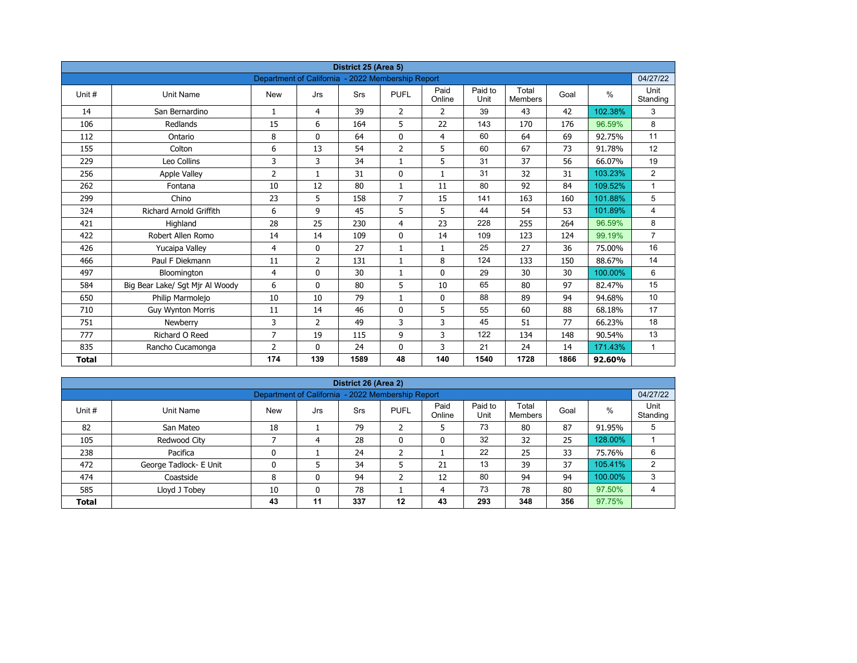| District 25 (Area 5) |                                 |                                                   |                |            |                |                |                 |                         |      |         |                  |  |  |
|----------------------|---------------------------------|---------------------------------------------------|----------------|------------|----------------|----------------|-----------------|-------------------------|------|---------|------------------|--|--|
|                      |                                 | Department of California - 2022 Membership Report |                |            |                |                |                 |                         |      |         | 04/27/22         |  |  |
| Unit #               | <b>Unit Name</b>                | <b>New</b>                                        | Jrs            | <b>Srs</b> | <b>PUFL</b>    | Paid<br>Online | Paid to<br>Unit | Total<br><b>Members</b> | Goal | $\%$    | Unit<br>Standing |  |  |
| 14                   | San Bernardino                  | $\mathbf{1}$                                      | 4              | 39         | $\overline{2}$ | $\overline{2}$ | 39              | 43                      | 42   | 102.38% | 3                |  |  |
| 106                  | Redlands                        | 15                                                | 6              | 164        | 5              | 22             | 143             | 170                     | 176  | 96.59%  | 8                |  |  |
| 112                  | Ontario                         | 8                                                 | 0              | 64         | $\mathbf 0$    | $\overline{4}$ | 60              | 64                      | 69   | 92.75%  | 11               |  |  |
| 155                  | Colton                          | 6                                                 | 13             | 54         | $\overline{2}$ | 5              | 60              | 67                      | 73   | 91.78%  | 12               |  |  |
| 229                  | Leo Collins                     | 3                                                 | 3              | 34         | $\mathbf{1}$   | 5              | 31              | 37                      | 56   | 66.07%  | 19               |  |  |
| 256                  | <b>Apple Valley</b>             | 2                                                 | $\mathbf{1}$   | 31         | $\mathbf{0}$   | $\mathbf{1}$   | 31              | 32                      | 31   | 103.23% | $\overline{2}$   |  |  |
| 262                  | Fontana                         | 10                                                | 12             | 80         | $\mathbf{1}$   | 11             | 80              | 92                      | 84   | 109.52% | $\mathbf{1}$     |  |  |
| 299                  | Chino                           | 23                                                | 5              | 158        | $\overline{7}$ | 15             | 141             | 163                     | 160  | 101.88% | 5                |  |  |
| 324                  | <b>Richard Arnold Griffith</b>  | 6                                                 | 9              | 45         | 5              | 5              | 44              | 54                      | 53   | 101.89% | 4                |  |  |
| 421                  | Highland                        | 28                                                | 25             | 230        | 4              | 23             | 228             | 255                     | 264  | 96.59%  | 8                |  |  |
| 422                  | Robert Allen Romo               | 14                                                | 14             | 109        | $\mathbf{0}$   | 14             | 109             | 123                     | 124  | 99.19%  | $\overline{7}$   |  |  |
| 426                  | Yucaipa Valley                  | 4                                                 | $\Omega$       | 27         | $\mathbf{1}$   | $\mathbf{1}$   | 25              | 27                      | 36   | 75.00%  | 16               |  |  |
| 466                  | Paul F Diekmann                 | 11                                                | $\overline{2}$ | 131        | $\mathbf{1}$   | 8              | 124             | 133                     | 150  | 88.67%  | 14               |  |  |
| 497                  | Bloomington                     | 4                                                 | 0              | 30         | $\mathbf{1}$   | $\mathbf 0$    | 29              | 30                      | 30   | 100.00% | 6                |  |  |
| 584                  | Big Bear Lake/ Sgt Mjr Al Woody | 6                                                 | $\mathbf{0}$   | 80         | 5              | 10             | 65              | 80                      | 97   | 82.47%  | 15               |  |  |
| 650                  | Philip Marmolejo                | 10                                                | 10             | 79         | $\mathbf{1}$   | 0              | 88              | 89                      | 94   | 94.68%  | 10               |  |  |
| 710                  | <b>Guy Wynton Morris</b>        | 11                                                | 14             | 46         | $\mathbf{0}$   | 5              | 55              | 60                      | 88   | 68.18%  | 17               |  |  |
| 751                  | Newberry                        | 3                                                 | $\overline{2}$ | 49         | 3              | 3              | 45              | 51                      | 77   | 66.23%  | 18               |  |  |
| 777                  | Richard O Reed                  | 7                                                 | 19             | 115        | 9              | 3              | 122             | 134                     | 148  | 90.54%  | 13               |  |  |
| 835                  | Rancho Cucamonga                | $\overline{2}$                                    | $\mathbf{0}$   | 24         | 0              | 3              | 21              | 24                      | 14   | 171.43% | $\mathbf{1}$     |  |  |
| <b>Total</b>         |                                 | 174                                               | 139            | 1589       | 48             | 140            | 1540            | 1728                    | 1866 | 92.60%  |                  |  |  |

| District 26 (Area 2)                                                       |                                                               |            |     |     |                |                |                 |                  |      |         |                  |  |  |  |  |
|----------------------------------------------------------------------------|---------------------------------------------------------------|------------|-----|-----|----------------|----------------|-----------------|------------------|------|---------|------------------|--|--|--|--|
|                                                                            | 04/27/22<br>Department of California - 2022 Membership Report |            |     |     |                |                |                 |                  |      |         |                  |  |  |  |  |
| Unit #                                                                     | Unit Name                                                     | <b>New</b> | Jrs | Srs | <b>PUFL</b>    | Paid<br>Online | Paid to<br>Unit | Total<br>Members | Goal | $\%$    | Unit<br>Standing |  |  |  |  |
| 82                                                                         | San Mateo                                                     | 18         |     | 79  | $\overline{2}$ | 5              | 73              | 80               | 87   | 91.95%  | 5                |  |  |  |  |
| 105                                                                        | Redwood City                                                  |            | 4   | 28  | 0              | 0              | 32              | 32               | 25   | 128.00% |                  |  |  |  |  |
| 238                                                                        | Pacifica                                                      | 0          |     | 24  | h              |                | 22              | 25               | 33   | 75.76%  | 6                |  |  |  |  |
| 472                                                                        | George Tadlock- E Unit                                        | 0          |     | 34  | 5              | 21             | 13              | 39               | 37   | 105.41% | $\overline{2}$   |  |  |  |  |
| 474                                                                        | Coastside                                                     | 8          | 0   | 94  | h<br>∠         | 12             | 80              | 94               | 94   | 100.00% | 3                |  |  |  |  |
| 73<br>585<br>78<br>78<br>80<br>97.50%<br>Lloyd J Tobey<br>10<br>0<br>4     |                                                               |            |     |     |                |                |                 |                  |      |         |                  |  |  |  |  |
| 356<br>11<br>337<br>12<br>43<br>293<br>348<br>43<br>97.75%<br><b>Total</b> |                                                               |            |     |     |                |                |                 |                  |      |         |                  |  |  |  |  |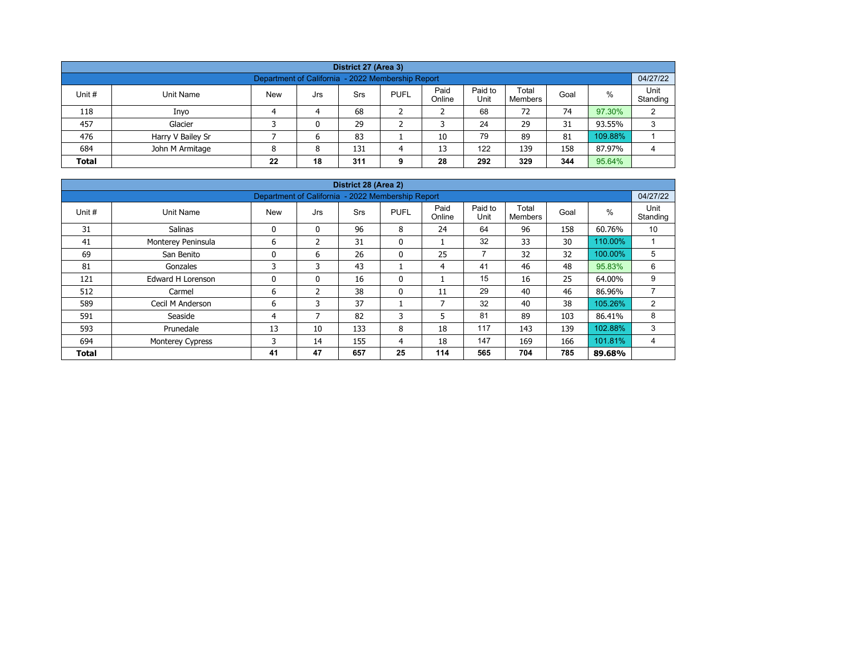| District 27 (Area 3)                                                                                                                                    |                   |  |   |    |  |    |    |    |    |         |   |  |  |  |
|---------------------------------------------------------------------------------------------------------------------------------------------------------|-------------------|--|---|----|--|----|----|----|----|---------|---|--|--|--|
| Department of California - 2022 Membership Report                                                                                                       |                   |  |   |    |  |    |    |    |    |         |   |  |  |  |
| Paid<br>Paid to<br>Total<br>%<br>Unit #<br><b>New</b><br><b>PUFL</b><br>Unit Name<br>Srs<br>Goal<br>Jrs<br>Unit<br>Online<br>Standing<br><b>Members</b> |                   |  |   |    |  |    |    |    |    |         |   |  |  |  |
| 118                                                                                                                                                     | Inyo              |  | 4 | 68 |  |    | 68 | 72 | 74 | 97.30%  | C |  |  |  |
| 457                                                                                                                                                     | Glacier           |  | 0 | 29 |  |    | 24 | 29 | 31 | 93.55%  | 3 |  |  |  |
| 476                                                                                                                                                     | Harry V Bailey Sr |  | 6 | 83 |  | 10 | 79 | 89 | 81 | 109.88% |   |  |  |  |
| 122<br>684<br>158<br>John M Armitage<br>13<br>139<br>87.97%<br>131<br>8<br>Δ                                                                            |                   |  |   |    |  |    |    |    |    |         |   |  |  |  |
| 292<br>344<br>95.64%<br>18<br>329<br>22<br>311<br>28<br><b>Total</b><br>g                                                                               |                   |  |   |    |  |    |    |    |    |         |   |  |  |  |

| District 28 (Area 2) |                          |            |                                                   |            |              |                |                 |                         |      |         |                  |  |  |  |
|----------------------|--------------------------|------------|---------------------------------------------------|------------|--------------|----------------|-----------------|-------------------------|------|---------|------------------|--|--|--|
|                      |                          |            | Department of California - 2022 Membership Report |            |              |                |                 |                         |      |         | 04/27/22         |  |  |  |
| Unit #               | Unit Name                | <b>New</b> | Jrs                                               | <b>Srs</b> | <b>PUFL</b>  | Paid<br>Online | Paid to<br>Unit | Total<br><b>Members</b> | Goal | %       | Unit<br>Standing |  |  |  |
| 31                   | Salinas                  | 0          | $\mathbf{0}$                                      | 96         | 8            | 24             | 64              | 96                      | 158  | 60.76%  | 10               |  |  |  |
| 41                   | Monterey Peninsula       | 6          | 2                                                 | 31         | $\mathbf{0}$ |                | 32              | 33                      | 30   | 110.00% |                  |  |  |  |
| 69                   | San Benito               | 0          | 6                                                 | 26         | $\mathbf{0}$ | 25             | $\overline{7}$  | 32                      | 32   | 100.00% | 5                |  |  |  |
| 81                   | Gonzales                 | 3          | 3                                                 | 43         |              | 4              | 41              | 46                      | 48   | 95.83%  | 6                |  |  |  |
| 121                  | <b>Edward H Lorenson</b> | 0          | $\mathbf{0}$                                      | 16         | 0            |                | 15              | 16                      | 25   | 64.00%  | 9                |  |  |  |
| 512                  | Carmel                   | 6          | $\overline{2}$                                    | 38         | 0            | 11             | 29              | 40                      | 46   | 86.96%  | $\overline{ }$   |  |  |  |
| 589                  | Cecil M Anderson         | 6          | 3                                                 | 37         |              | 7              | 32              | 40                      | 38   | 105.26% | $\overline{2}$   |  |  |  |
| 591                  | Seaside                  | 4          | 7                                                 | 82         | 3            | 5              | 81              | 89                      | 103  | 86.41%  | 8                |  |  |  |
| 593                  | Prunedale                | 13         | 10                                                | 133        | 8            | 18             | 117             | 143                     | 139  | 102.88% | 3                |  |  |  |
| 694                  | <b>Monterey Cypress</b>  | 3          | 14                                                | 155        | 4            | 18             | 147             | 169                     | 166  | 101.81% | 4                |  |  |  |
| <b>Total</b>         |                          | 41         | 47                                                | 657        | 25           | 114            | 565             | 704                     | 785  | 89.68%  |                  |  |  |  |